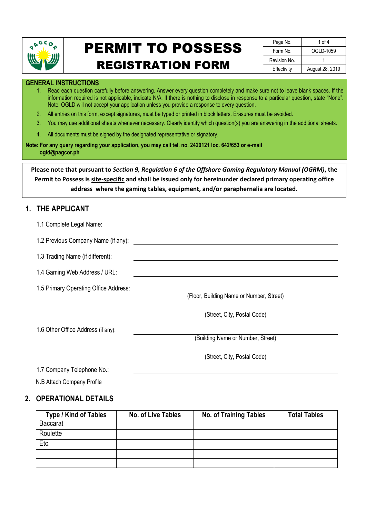

# PERMIT TO POSSESS

### REGISTRATION FORM

| Page No.     | 1 of $4$        |
|--------------|-----------------|
| Form No.     | OGLD-1059       |
| Revision No. |                 |
| Effectivity  | August 28, 2019 |

#### **GENERAL INSTRUCTIONS**

- 1. Read each question carefully before answering. Answer every question completely and make sure not to leave blank spaces. If the information required is not applicable, indicate N/A. If there is nothing to disclose in response to a particular question, state "None". Note: OGLD will not accept your application unless you provide a response to every question.
- 2. All entries on this form, except signatures, must be typed or printed in block letters. Erasures must be avoided.
- 3. You may use additional sheets whenever necessary. Clearly identify which question(s) you are answering in the additional sheets.
- 4. All documents must be signed by the designated representative or signatory.

**Note: For any query regarding your application, you may call tel. no. 2420121 loc. 642/653 or e-mail ogld@pagcor.ph**

**Please note that pursuant to** *Section 9, Regulation 6 of the Offshore Gaming Regulatory Manual (OGRM)***, the Permit to Possess is site-specific and shall be issued only for hereinunder declared primary operating office address where the gaming tables, equipment, and/or paraphernalia are located.**

#### **1. THE APPLICANT**

| 1.1 Complete Legal Name:              |                                          |
|---------------------------------------|------------------------------------------|
| 1.2 Previous Company Name (if any):   |                                          |
| 1.3 Trading Name (if different):      |                                          |
| 1.4 Gaming Web Address / URL:         |                                          |
| 1.5 Primary Operating Office Address: |                                          |
|                                       | (Floor, Building Name or Number, Street) |
|                                       | (Street, City, Postal Code)              |
| 1.6 Other Office Address (if any):    |                                          |
|                                       | (Building Name or Number, Street)        |
|                                       | (Street, City, Postal Code)              |

1.7 Company Telephone No.:

N.B Attach Company Profile

#### **2. OPERATIONAL DETAILS**

| Type / Kind of Tables | No. of Live Tables | <b>No. of Training Tables</b> | <b>Total Tables</b> |
|-----------------------|--------------------|-------------------------------|---------------------|
| <b>Baccarat</b>       |                    |                               |                     |
| Roulette              |                    |                               |                     |
| Etc.                  |                    |                               |                     |
|                       |                    |                               |                     |
|                       |                    |                               |                     |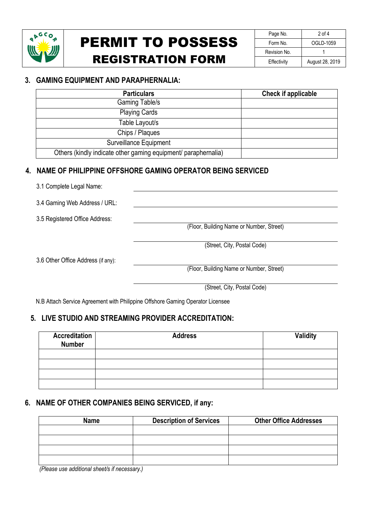

### PERMIT TO POSSESS REGISTRATION FORM

| Page No.     | $2$ of 4        |  |
|--------------|-----------------|--|
| Form No.     | OGLD-1059       |  |
| Revision No. |                 |  |
| Effectivity  | August 28, 2019 |  |

#### **3. GAMING EQUIPMENT AND PARAPHERNALIA:**

| <b>Particulars</b>                                             | Check if applicable |
|----------------------------------------------------------------|---------------------|
| Gaming Table/s                                                 |                     |
| <b>Playing Cards</b>                                           |                     |
| Table Layout/s                                                 |                     |
| Chips / Plaques                                                |                     |
| <b>Surveillance Equipment</b>                                  |                     |
| Others (kindly indicate other gaming equipment/ paraphernalia) |                     |

#### **4. NAME OF PHILIPPINE OFFSHORE GAMING OPERATOR BEING SERVICED**

| 3.1 Complete Legal Name:           |                                          |  |
|------------------------------------|------------------------------------------|--|
| 3.4 Gaming Web Address / URL:      |                                          |  |
| 3.5 Registered Office Address:     |                                          |  |
|                                    | (Floor, Building Name or Number, Street) |  |
|                                    | (Street, City, Postal Code)              |  |
| 3.6 Other Office Address (if any): |                                          |  |
|                                    | (Floor, Building Name or Number, Street) |  |
|                                    | (Street, City, Postal Code)              |  |

N.B Attach Service Agreement with Philippine Offshore Gaming Operator Licensee

#### **5. LIVE STUDIO AND STREAMING PROVIDER ACCREDITATION:**

| <b>Accreditation</b><br><b>Number</b> | <b>Address</b> | <b>Validity</b> |
|---------------------------------------|----------------|-----------------|
|                                       |                |                 |
|                                       |                |                 |
|                                       |                |                 |
|                                       |                |                 |

#### **6. NAME OF OTHER COMPANIES BEING SERVICED, if any:**

| <b>Name</b> | <b>Description of Services</b> | <b>Other Office Addresses</b> |
|-------------|--------------------------------|-------------------------------|
|             |                                |                               |
|             |                                |                               |
|             |                                |                               |
|             |                                |                               |

 *(Please use additional sheet/s if necessary.)*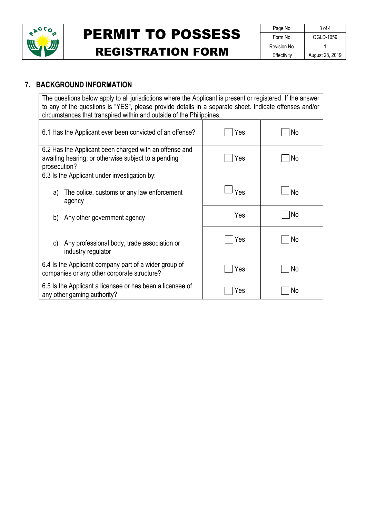

## PERMIT TO POSSESS REGISTRATION FORM

| Page No.     | 3 of 4          |  |  |
|--------------|-----------------|--|--|
| Form No.     | OGLD-1059       |  |  |
| Revision No. |                 |  |  |
| Effectivity  | August 28, 2019 |  |  |

#### **7. BACKGROUND INFORMATION**

| The questions below apply to all jurisdictions where the Applicant is present or registered. If the answer<br>to any of the questions is "YES", please provide details in a separate sheet. Indicate offenses and/or<br>circumstances that transpired within and outside of the Philippines. |     |           |  |  |
|----------------------------------------------------------------------------------------------------------------------------------------------------------------------------------------------------------------------------------------------------------------------------------------------|-----|-----------|--|--|
| 6.1 Has the Applicant ever been convicted of an offense?                                                                                                                                                                                                                                     | Yes | No        |  |  |
| 6.2 Has the Applicant been charged with an offense and<br>awaiting hearing; or otherwise subject to a pending<br>prosecution?                                                                                                                                                                | Yes | No        |  |  |
| 6.3 Is the Applicant under investigation by:<br>The police, customs or any law enforcement<br>a)<br>agency                                                                                                                                                                                   | Yes | <b>No</b> |  |  |
| b)<br>Any other government agency                                                                                                                                                                                                                                                            | Yes | No        |  |  |
| Any professional body, trade association or<br>C)<br>industry regulator                                                                                                                                                                                                                      | Yes | No        |  |  |
| 6.4 Is the Applicant company part of a wider group of<br>companies or any other corporate structure?                                                                                                                                                                                         | Yes | No        |  |  |
| 6.5 Is the Applicant a licensee or has been a licensee of<br>any other gaming authority?                                                                                                                                                                                                     | Yes | No        |  |  |